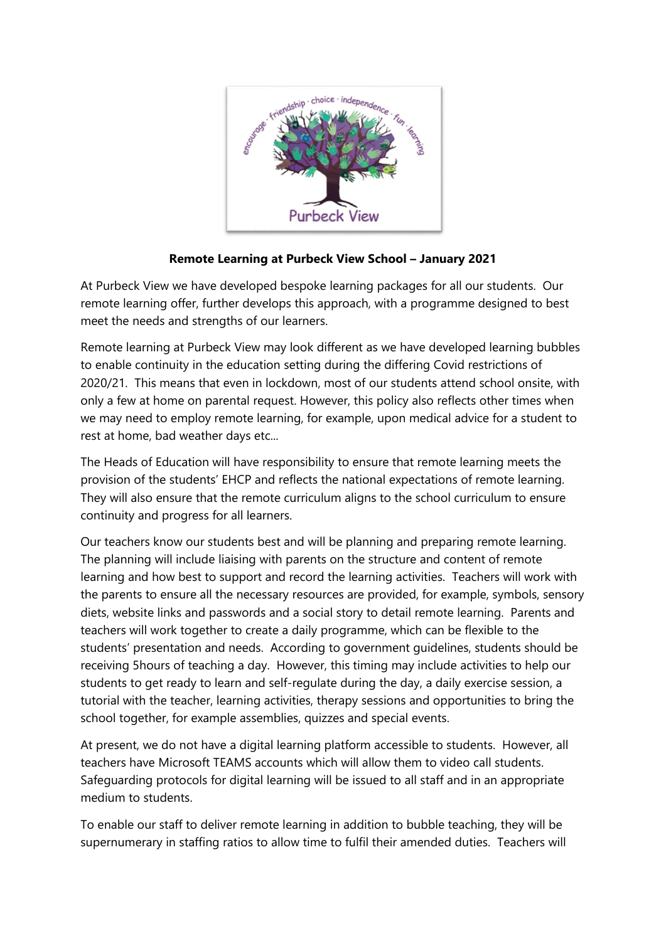

## **Remote Learning at Purbeck View School – January 2021**

At Purbeck View we have developed bespoke learning packages for all our students. Our remote learning offer, further develops this approach, with a programme designed to best meet the needs and strengths of our learners.

Remote learning at Purbeck View may look different as we have developed learning bubbles to enable continuity in the education setting during the differing Covid restrictions of 2020/21. This means that even in lockdown, most of our students attend school onsite, with only a few at home on parental request. However, this policy also reflects other times when we may need to employ remote learning, for example, upon medical advice for a student to rest at home, bad weather days etc...

The Heads of Education will have responsibility to ensure that remote learning meets the provision of the students' EHCP and reflects the national expectations of remote learning. They will also ensure that the remote curriculum aligns to the school curriculum to ensure continuity and progress for all learners.

Our teachers know our students best and will be planning and preparing remote learning. The planning will include liaising with parents on the structure and content of remote learning and how best to support and record the learning activities. Teachers will work with the parents to ensure all the necessary resources are provided, for example, symbols, sensory diets, website links and passwords and a social story to detail remote learning. Parents and teachers will work together to create a daily programme, which can be flexible to the students' presentation and needs. According to government guidelines, students should be receiving 5hours of teaching a day. However, this timing may include activities to help our students to get ready to learn and self-regulate during the day, a daily exercise session, a tutorial with the teacher, learning activities, therapy sessions and opportunities to bring the school together, for example assemblies, quizzes and special events.

At present, we do not have a digital learning platform accessible to students. However, all teachers have Microsoft TEAMS accounts which will allow them to video call students. Safeguarding protocols for digital learning will be issued to all staff and in an appropriate medium to students.

To enable our staff to deliver remote learning in addition to bubble teaching, they will be supernumerary in staffing ratios to allow time to fulfil their amended duties. Teachers will